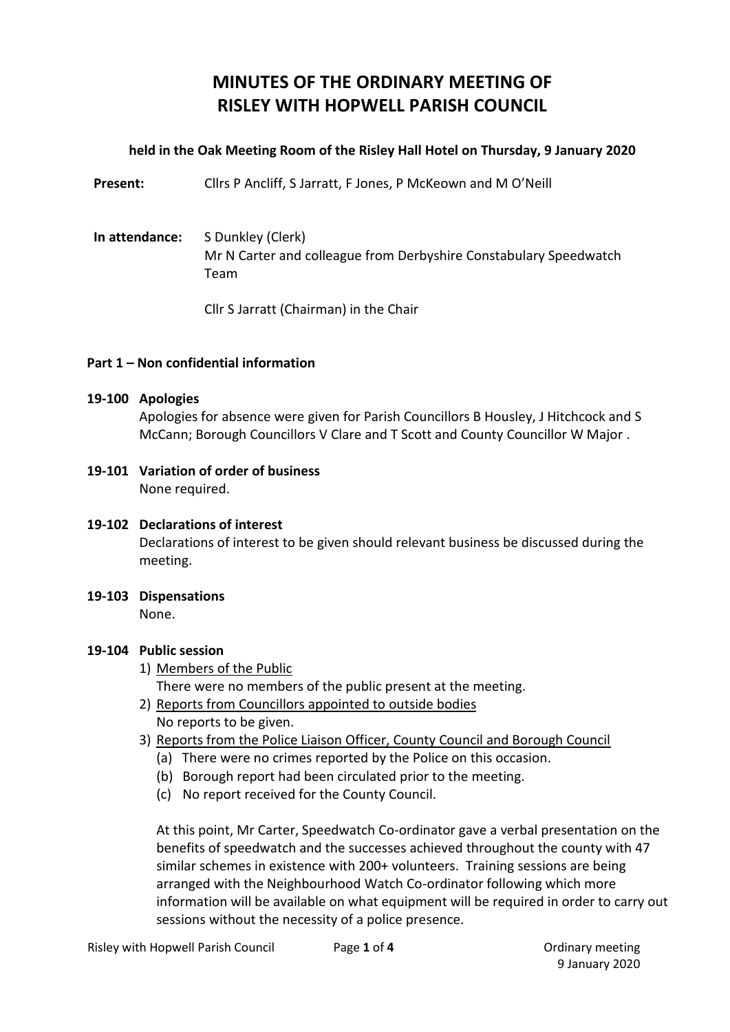# **MINUTES OF THE ORDINARY MEETING OF RISLEY WITH HOPWELL PARISH COUNCIL**

## **held in the Oak Meeting Room of the Risley Hall Hotel on Thursday, 9 January 2020**

Present: Cllrs P Ancliff, S Jarratt, F Jones, P McKeown and M O'Neill

## **In attendance:** S Dunkley (Clerk) Mr N Carter and colleague from Derbyshire Constabulary Speedwatch Team

Cllr S Jarratt (Chairman) in the Chair

### **Part 1 – Non confidential information**

#### **19-100 Apologies**

Apologies for absence were given for Parish Councillors B Housley, J Hitchcock and S McCann; Borough Councillors V Clare and T Scott and County Councillor W Major .

**19-101 Variation of order of business** None required.

#### **19-102 Declarations of interest**

Declarations of interest to be given should relevant business be discussed during the meeting.

**19-103 Dispensations**

None.

#### **19-104 Public session**

1) Members of the Public

There were no members of the public present at the meeting.

- 2) Reports from Councillors appointed to outside bodies No reports to be given.
- 3) Reports from the Police Liaison Officer, County Council and Borough Council
	- (a) There were no crimes reported by the Police on this occasion.
	- (b) Borough report had been circulated prior to the meeting.
	- (c) No report received for the County Council.

At this point, Mr Carter, Speedwatch Co-ordinator gave a verbal presentation on the benefits of speedwatch and the successes achieved throughout the county with 47 similar schemes in existence with 200+ volunteers. Training sessions are being arranged with the Neighbourhood Watch Co-ordinator following which more information will be available on what equipment will be required in order to carry out sessions without the necessity of a police presence.

9 January 2020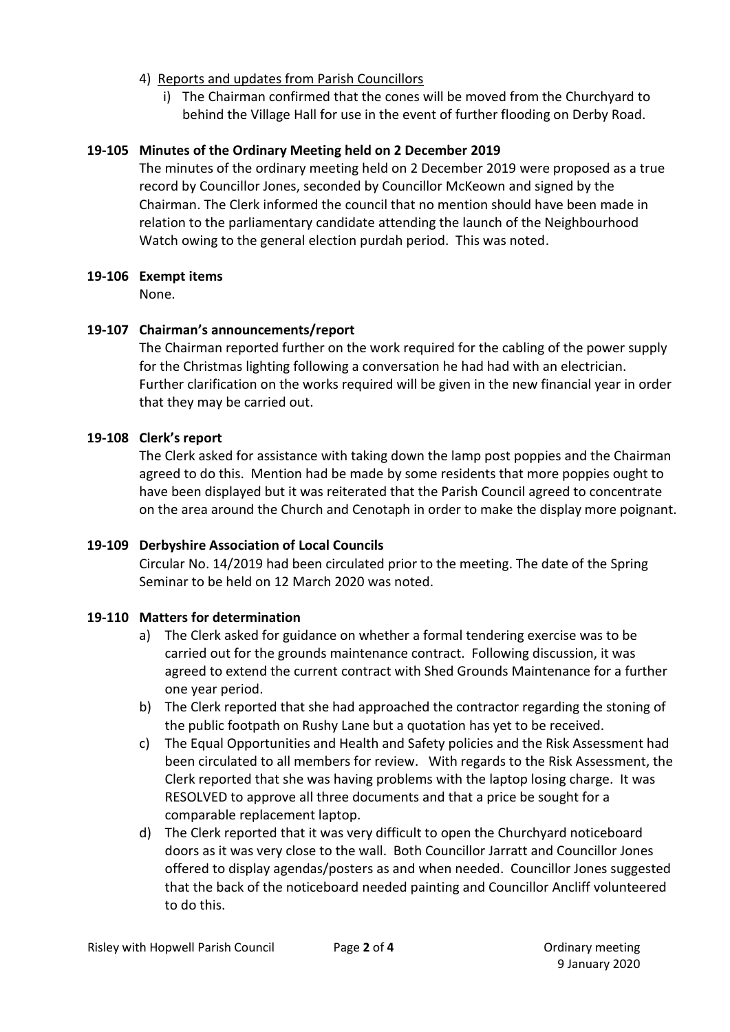- 4) Reports and updates from Parish Councillors
	- i) The Chairman confirmed that the cones will be moved from the Churchyard to behind the Village Hall for use in the event of further flooding on Derby Road.

## **19-105 Minutes of the Ordinary Meeting held on 2 December 2019**

The minutes of the ordinary meeting held on 2 December 2019 were proposed as a true record by Councillor Jones, seconded by Councillor McKeown and signed by the Chairman. The Clerk informed the council that no mention should have been made in relation to the parliamentary candidate attending the launch of the Neighbourhood Watch owing to the general election purdah period. This was noted.

## **19-106 Exempt items**

None.

## **19-107 Chairman's announcements/report**

The Chairman reported further on the work required for the cabling of the power supply for the Christmas lighting following a conversation he had had with an electrician. Further clarification on the works required will be given in the new financial year in order that they may be carried out.

## **19-108 Clerk's report**

The Clerk asked for assistance with taking down the lamp post poppies and the Chairman agreed to do this. Mention had be made by some residents that more poppies ought to have been displayed but it was reiterated that the Parish Council agreed to concentrate on the area around the Church and Cenotaph in order to make the display more poignant.

## **19-109 Derbyshire Association of Local Councils**

Circular No. 14/2019 had been circulated prior to the meeting. The date of the Spring Seminar to be held on 12 March 2020 was noted.

## **19-110 Matters for determination**

- a) The Clerk asked for guidance on whether a formal tendering exercise was to be carried out for the grounds maintenance contract. Following discussion, it was agreed to extend the current contract with Shed Grounds Maintenance for a further one year period.
- b) The Clerk reported that she had approached the contractor regarding the stoning of the public footpath on Rushy Lane but a quotation has yet to be received.
- c) The Equal Opportunities and Health and Safety policies and the Risk Assessment had been circulated to all members for review. With regards to the Risk Assessment, the Clerk reported that she was having problems with the laptop losing charge. It was RESOLVED to approve all three documents and that a price be sought for a comparable replacement laptop.
- d) The Clerk reported that it was very difficult to open the Churchyard noticeboard doors as it was very close to the wall. Both Councillor Jarratt and Councillor Jones offered to display agendas/posters as and when needed. Councillor Jones suggested that the back of the noticeboard needed painting and Councillor Ancliff volunteered to do this.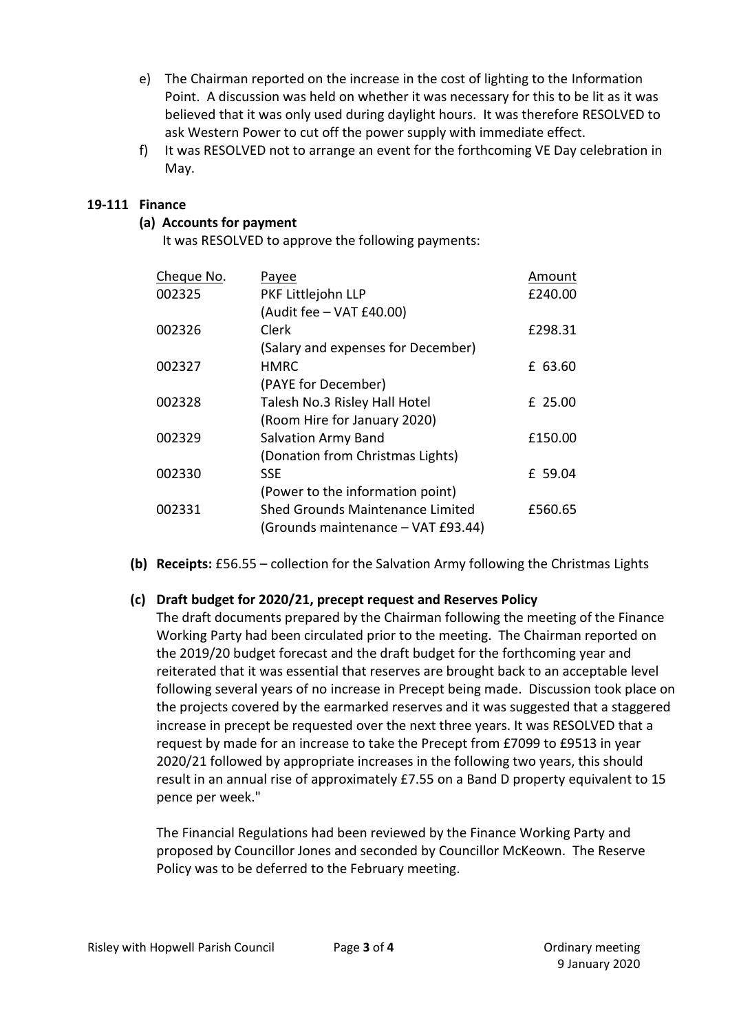- e) The Chairman reported on the increase in the cost of lighting to the Information Point. A discussion was held on whether it was necessary for this to be lit as it was believed that it was only used during daylight hours. It was therefore RESOLVED to ask Western Power to cut off the power supply with immediate effect.
- f) It was RESOLVED not to arrange an event for the forthcoming VE Day celebration in May.

## **19-111 Finance**

#### **(a) Accounts for payment**

It was RESOLVED to approve the following payments:

| Cheque No. | Payee                                   | Amount  |
|------------|-----------------------------------------|---------|
| 002325     | PKF Littlejohn LLP                      | £240.00 |
|            | (Audit fee - VAT £40.00)                |         |
| 002326     | Clerk                                   | £298.31 |
|            | (Salary and expenses for December)      |         |
| 002327     | <b>HMRC</b>                             | £ 63.60 |
|            | (PAYE for December)                     |         |
| 002328     | Talesh No.3 Risley Hall Hotel           | £ 25.00 |
|            | (Room Hire for January 2020)            |         |
| 002329     | <b>Salvation Army Band</b>              | £150.00 |
|            | (Donation from Christmas Lights)        |         |
| 002330     | <b>SSE</b>                              | £ 59.04 |
|            | (Power to the information point)        |         |
| 002331     | <b>Shed Grounds Maintenance Limited</b> | £560.65 |
|            | (Grounds maintenance - VAT £93.44)      |         |

**(b) Receipts:** £56.55 – collection for the Salvation Army following the Christmas Lights

#### **(c) Draft budget for 2020/21, precept request and Reserves Policy**

The draft documents prepared by the Chairman following the meeting of the Finance Working Party had been circulated prior to the meeting. The Chairman reported on the 2019/20 budget forecast and the draft budget for the forthcoming year and reiterated that it was essential that reserves are brought back to an acceptable level following several years of no increase in Precept being made. Discussion took place on the projects covered by the earmarked reserves and it was suggested that a staggered increase in precept be requested over the next three years. It was RESOLVED that a request by made for an increase to take the Precept from £7099 to £9513 in year 2020/21 followed by appropriate increases in the following two years, this should result in an annual rise of approximately £7.55 on a Band D property equivalent to 15 pence per week."

The Financial Regulations had been reviewed by the Finance Working Party and proposed by Councillor Jones and seconded by Councillor McKeown. The Reserve Policy was to be deferred to the February meeting.